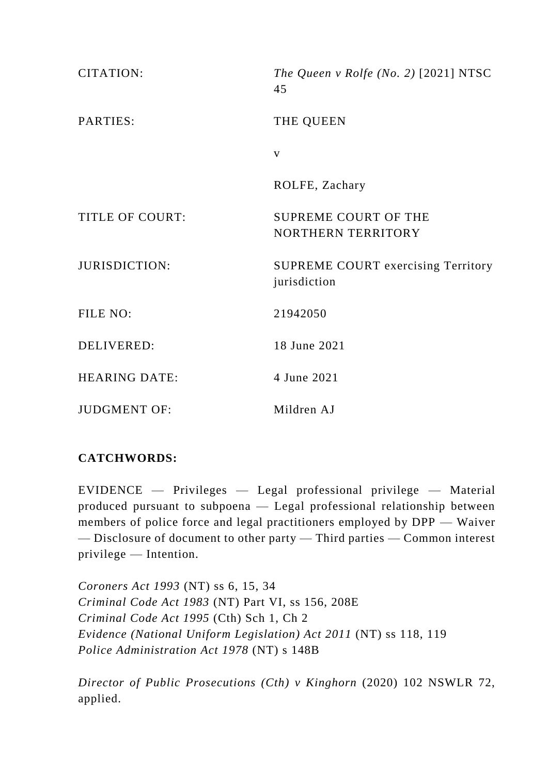| <b>CITATION:</b>       | The Queen v Rolfe (No. 2) $[2021] NTSC$<br>45             |
|------------------------|-----------------------------------------------------------|
| PARTIES:               | THE QUEEN                                                 |
|                        | $\mathbf{V}$                                              |
|                        | ROLFE, Zachary                                            |
| <b>TITLE OF COURT:</b> | <b>SUPREME COURT OF THE</b><br>NORTHERN TERRITORY         |
| <b>JURISDICTION:</b>   | <b>SUPREME COURT exercising Territory</b><br>jurisdiction |
| FILE NO:               | 21942050                                                  |
| <b>DELIVERED:</b>      | 18 June 2021                                              |
| <b>HEARING DATE:</b>   | 4 June 2021                                               |
| <b>JUDGMENT OF:</b>    | Mildren AJ                                                |

# **CATCHWORDS:**

EVIDENCE — Privileges — Legal professional privilege — Material produced pursuant to subpoena — Legal professional relationship between members of police force and legal practitioners employed by DPP — Waiver — Disclosure of document to other party — Third parties — Common interest privilege — Intention.

*Coroners Act 1993* (NT) ss 6, 15, 34 *Criminal Code Act 1983* (NT) Part VI, ss 156, 208E *Criminal Code Act 1995* (Cth) Sch 1, Ch 2 *Evidence (National Uniform Legislation) Act 2011* (NT) ss 118, 119 *Police Administration Act 1978* (NT) s 148B

*Director of Public Prosecutions (Cth) v Kinghorn* (2020) 102 NSWLR 72, applied.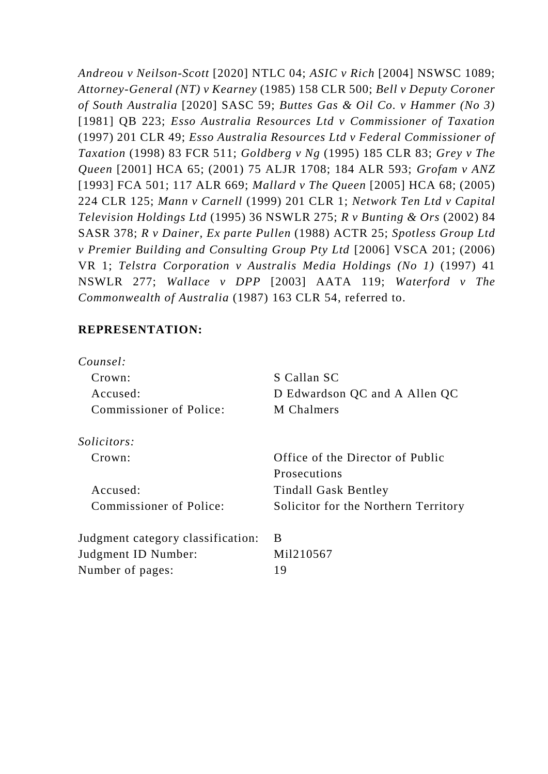*Andreou v Neilson-Scott* [2020] NTLC 04; *ASIC v Rich* [2004] NSWSC 1089; *Attorney-General (NT) v Kearney* (1985) 158 CLR 500; *Bell v Deputy Coroner of South Australia* [2020] SASC 59; *Buttes Gas & Oil Co. v Hammer (No 3)* [1981] QB 223; *Esso Australia Resources Ltd v Commissioner of Taxation*  (1997) 201 CLR 49; *Esso Australia Resources Ltd v Federal Commissioner of Taxation* (1998) 83 FCR 511; *Goldberg v Ng* (1995) 185 CLR 83; *Grey v The Queen* [2001] HCA 65; (2001) 75 ALJR 1708; 184 ALR 593; *Grofam v ANZ* [1993] FCA 501; 117 ALR 669; *Mallard v The Queen* [2005] HCA 68; (2005) 224 CLR 125; *Mann v Carnell* (1999) 201 CLR 1; *Network Ten Ltd v Capital Television Holdings Ltd* (1995) 36 NSWLR 275; *R v Bunting & Ors* (2002) 84 SASR 378; *R v Dainer, Ex parte Pullen* (1988) ACTR 25; *Spotless Group Ltd v Premier Building and Consulting Group Pty Ltd* [2006] VSCA 201; (2006) VR 1; *Telstra Corporation v Australis Media Holdings (No 1)* (1997) 41 NSWLR 277; *Wallace v DPP* [2003] AATA 119; *Waterford v The Commonwealth of Australia* (1987) 163 CLR 54, referred to.

## **REPRESENTATION:**

| S Callan SC                          |
|--------------------------------------|
| D Edwardson QC and A Allen QC        |
| M Chalmers                           |
|                                      |
| Office of the Director of Public     |
| <b>Prosecutions</b>                  |
| <b>Tindall Gask Bentley</b>          |
| Solicitor for the Northern Territory |
| B                                    |
| Mil210567                            |
| 19                                   |
|                                      |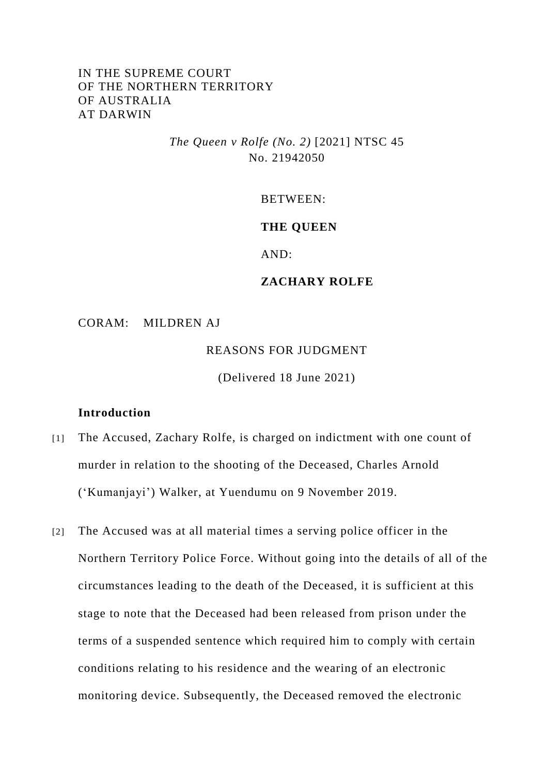# IN THE SUPREME COURT OF THE NORTHERN TERRITORY OF AUSTRALIA AT DARWIN

*The Queen v Rolfe (No. 2)* [2021] NTSC 45 No. 21942050

BETWEEN:

#### **THE QUEEN**

AND:

## **ZACHARY ROLFE**

CORAM: MILDREN AJ

REASONS FOR JUDGMENT

(Delivered 18 June 2021)

#### **Introduction**

- [1] The Accused, Zachary Rolfe, is charged on indictment with one count of murder in relation to the shooting of the Deceased, Charles Arnold ('Kumanjayi') Walker, at Yuendumu on 9 November 2019.
- [2] The Accused was at all material times a serving police officer in the Northern Territory Police Force. Without going into the details of all of the circumstances leading to the death of the Deceased, it is sufficient at this stage to note that the Deceased had been released from prison under the terms of a suspended sentence which required him to comply with certain conditions relating to his residence and the wearing of an electronic monitoring device. Subsequently, the Deceased removed the electronic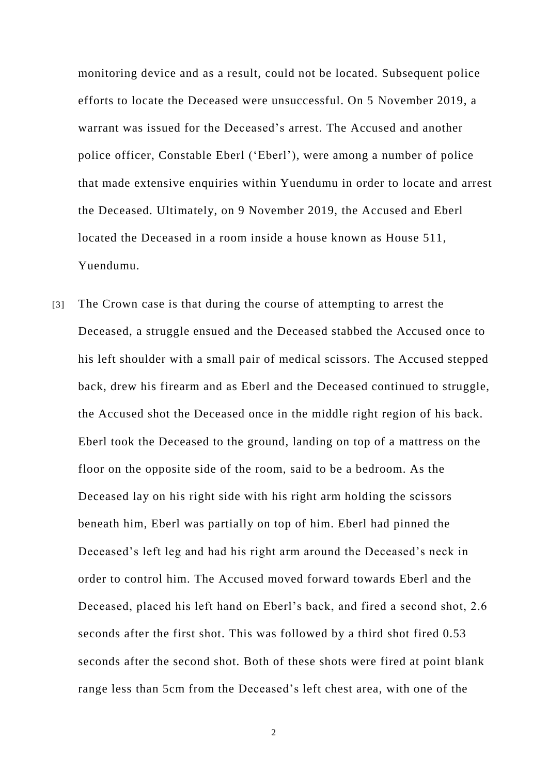monitoring device and as a result, could not be located. Subsequent police efforts to locate the Deceased were unsuccessful. On 5 November 2019, a warrant was issued for the Deceased's arrest. The Accused and another police officer, Constable Eberl ('Eberl'), were among a number of police that made extensive enquiries within Yuendumu in order to locate and arrest the Deceased. Ultimately, on 9 November 2019, the Accused and Eberl located the Deceased in a room inside a house known as House 511, Yuendumu.

[3] The Crown case is that during the course of attempting to arrest the Deceased, a struggle ensued and the Deceased stabbed the Accused once to his left shoulder with a small pair of medical scissors. The Accused stepped back, drew his firearm and as Eberl and the Deceased continued to struggle, the Accused shot the Deceased once in the middle right region of his back. Eberl took the Deceased to the ground, landing on top of a mattress on the floor on the opposite side of the room, said to be a bedroom. As the Deceased lay on his right side with his right arm holding the scissors beneath him, Eberl was partially on top of him. Eberl had pinned the Deceased's left leg and had his right arm around the Deceased's neck in order to control him. The Accused moved forward towards Eberl and the Deceased, placed his left hand on Eberl's back, and fired a second shot, 2.6 seconds after the first shot. This was followed by a third shot fired 0.53 seconds after the second shot. Both of these shots were fired at point blank range less than 5cm from the Deceased's left chest area, with one of the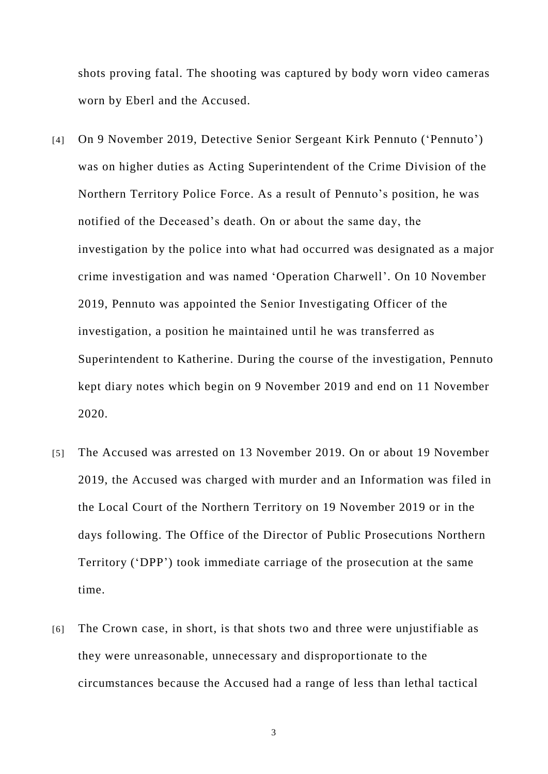shots proving fatal. The shooting was captured by body worn video cameras worn by Eberl and the Accused.

- [4] On 9 November 2019, Detective Senior Sergeant Kirk Pennuto ('Pennuto') was on higher duties as Acting Superintendent of the Crime Division of the Northern Territory Police Force. As a result of Pennuto's position, he was notified of the Deceased's death. On or about the same day, the investigation by the police into what had occurred was designated as a major crime investigation and was named 'Operation Charwell'. On 10 November 2019, Pennuto was appointed the Senior Investigating Officer of the investigation, a position he maintained until he was transferred as Superintendent to Katherine. During the course of the investigation, Pennuto kept diary notes which begin on 9 November 2019 and end on 11 November 2020.
- [5] The Accused was arrested on 13 November 2019. On or about 19 November 2019, the Accused was charged with murder and an Information was filed in the Local Court of the Northern Territory on 19 November 2019 or in the days following. The Office of the Director of Public Prosecutions Northern Territory ('DPP') took immediate carriage of the prosecution at the same time.
- [6] The Crown case, in short, is that shots two and three were unjustifiable as they were unreasonable, unnecessary and disproportionate to the circumstances because the Accused had a range of less than lethal tactical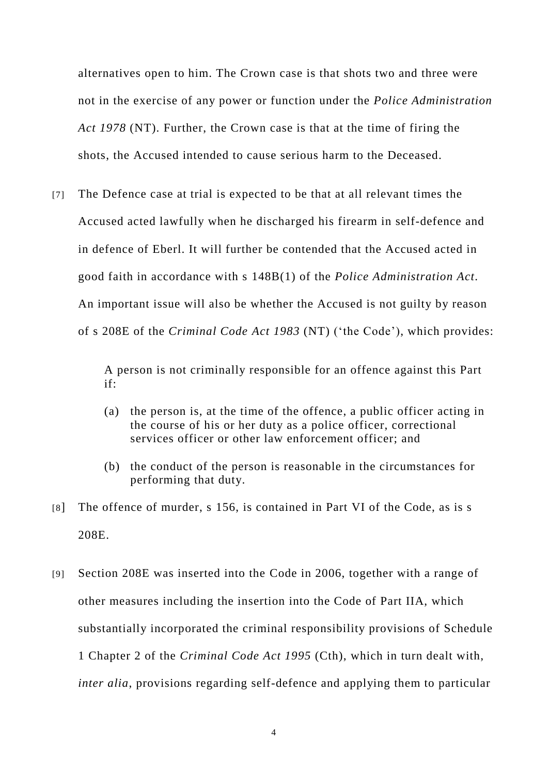alternatives open to him. The Crown case is that shots two and three were not in the exercise of any power or function under the *Police Administration Act 1978* (NT). Further, the Crown case is that at the time of firing the shots, the Accused intended to cause serious harm to the Deceased.

[7] The Defence case at trial is expected to be that at all relevant times the Accused acted lawfully when he discharged his firearm in self-defence and in defence of Eberl. It will further be contended that the Accused acted in good faith in accordance with s 148B(1) of the *Police Administration Act.*  An important issue will also be whether the Accused is not guilty by reason of s 208E of the *Criminal Code Act 1983* (NT) ('the Code'), which provides:

> A person is not criminally responsible for an offence against this Part if:

- (a) the person is, at the time of the offence, a public officer acting in the course of his or her duty as a police officer, correctional services officer or other law enforcement officer; and
- (b) the conduct of the person is reasonable in the circumstances for performing that duty.
- [8] The offence of murder, s 156, is contained in Part VI of the Code, as is s 208E.
- [9] Section 208E was inserted into the Code in 2006, together with a range of other measures including the insertion into the Code of Part IIA, which substantially incorporated the criminal responsibility provisions of Schedule 1 Chapter 2 of the *Criminal Code Act 1995* (Cth), which in turn dealt with, *inter alia*, provisions regarding self-defence and applying them to particular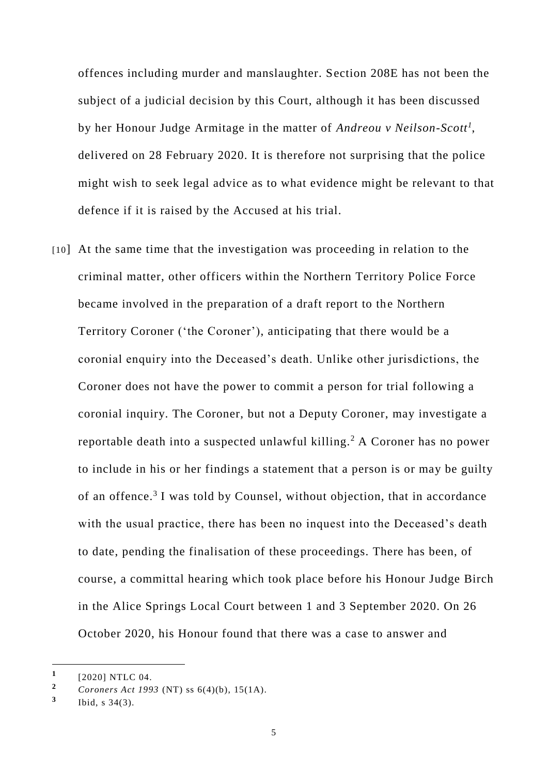offences including murder and manslaughter. Section 208E has not been the subject of a judicial decision by this Court, although it has been discussed by her Honour Judge Armitage in the matter of *Andreou v Neilson-Scott<sup>1</sup>* , delivered on 28 February 2020. It is therefore not surprising that the police might wish to seek legal advice as to what evidence might be relevant to that defence if it is raised by the Accused at his trial.

[10] At the same time that the investigation was proceeding in relation to the criminal matter, other officers within the Northern Territory Police Force became involved in the preparation of a draft report to the Northern Territory Coroner ('the Coroner'), anticipating that there would be a coronial enquiry into the Deceased's death. Unlike other jurisdictions, the Coroner does not have the power to commit a person for trial following a coronial inquiry. The Coroner, but not a Deputy Coroner, may investigate a reportable death into a suspected unlawful killing.<sup>2</sup> A Coroner has no power to include in his or her findings a statement that a person is or may be guilty of an offence.<sup>3</sup> I was told by Counsel, without objection, that in accordance with the usual practice, there has been no inquest into the Deceased's death to date, pending the finalisation of these proceedings. There has been, of course, a committal hearing which took place before his Honour Judge Birch in the Alice Springs Local Court between 1 and 3 September 2020. On 26 October 2020, his Honour found that there was a case to answer and

-

**<sup>1</sup>** [2020] NTLC 04.

**<sup>2</sup>** *Coroners Act 1993* (NT) ss 6(4)(b), 15(1A).

**<sup>3</sup>** Ibid, s 34(3).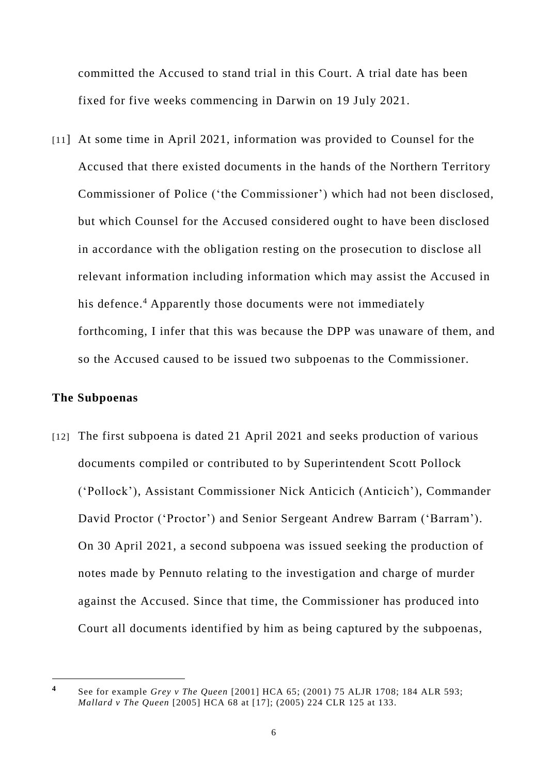committed the Accused to stand trial in this Court. A trial date has been fixed for five weeks commencing in Darwin on 19 July 2021.

[11] At some time in April 2021, information was provided to Counsel for the Accused that there existed documents in the hands of the Northern Territory Commissioner of Police ('the Commissioner') which had not been disclosed, but which Counsel for the Accused considered ought to have been disclosed in accordance with the obligation resting on the prosecution to disclose all relevant information including information which may assist the Accused in his defence.<sup>4</sup> Apparently those documents were not immediately forthcoming, I infer that this was because the DPP was unaware of them, and so the Accused caused to be issued two subpoenas to the Commissioner.

#### **The Subpoenas**

[12] The first subpoena is dated 21 April 2021 and seeks production of various documents compiled or contributed to by Superintendent Scott Pollock ('Pollock'), Assistant Commissioner Nick Anticich (Anticich'), Commander David Proctor ('Proctor') and Senior Sergeant Andrew Barram ('Barram'). On 30 April 2021, a second subpoena was issued seeking the production of notes made by Pennuto relating to the investigation and charge of murder against the Accused. Since that time, the Commissioner has produced into Court all documents identified by him as being captured by the subpoenas,

**<sup>4</sup>** See for example *Grey v The Queen* [2001] HCA 65; (2001) 75 ALJR 1708; 184 ALR 593; *Mallard v The Queen* [2005] HCA 68 at [17]; (2005) 224 CLR 125 at 133.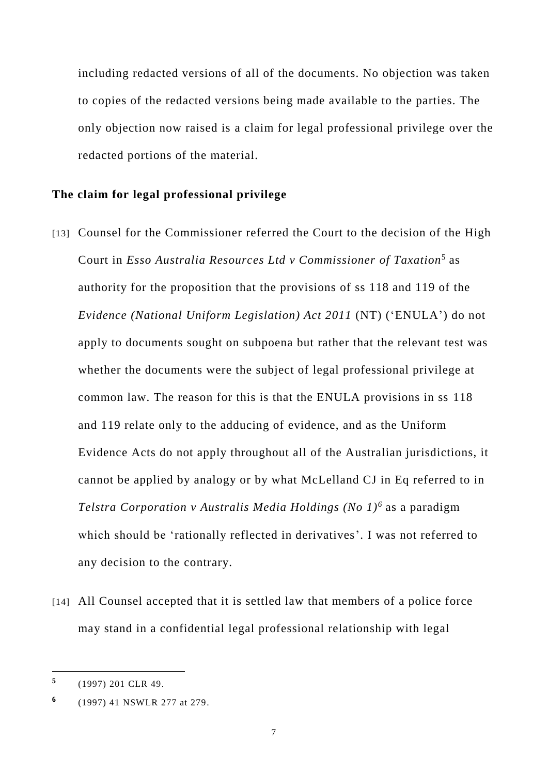including redacted versions of all of the documents. No objection was taken to copies of the redacted versions being made available to the parties. The only objection now raised is a claim for legal professional privilege over the redacted portions of the material.

#### **The claim for legal professional privilege**

- [13] Counsel for the Commissioner referred the Court to the decision of the High Court in *Esso Australia Resources Ltd v Commissioner of Taxation*<sup>5</sup> as authority for the proposition that the provisions of ss 118 and 119 of the *Evidence (National Uniform Legislation) Act 2011* (NT) ('ENULA') do not apply to documents sought on subpoena but rather that the relevant test was whether the documents were the subject of legal professional privilege at common law. The reason for this is that the ENULA provisions in ss 118 and 119 relate only to the adducing of evidence, and as the Uniform Evidence Acts do not apply throughout all of the Australian jurisdictions, it cannot be applied by analogy or by what McLelland CJ in Eq referred to in *Telstra Corporation v Australis Media Holdings (No 1)<sup>6</sup>* as a paradigm which should be 'rationally reflected in derivatives'. I was not referred to any decision to the contrary.
- [14] All Counsel accepted that it is settled law that members of a police force may stand in a confidential legal professional relationship with legal

**<sup>5</sup>** (1997) 201 CLR 49.

**<sup>6</sup>** (1997) 41 NSWLR 277 at 279.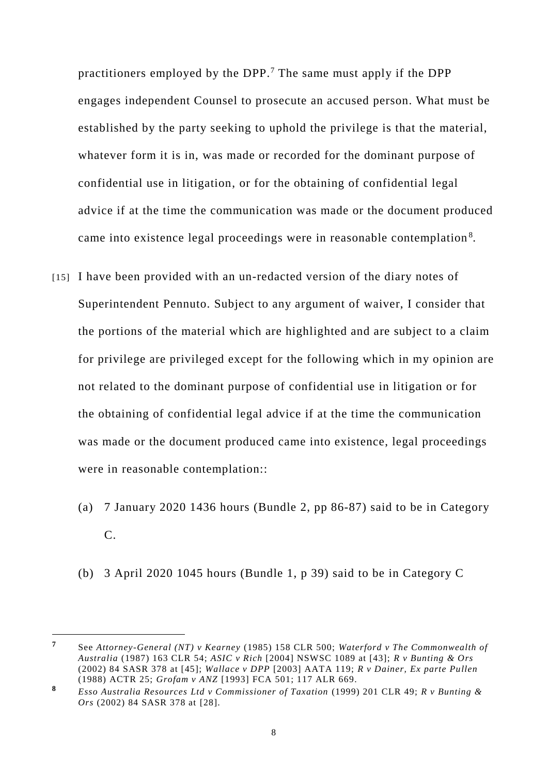practitioners employed by the DPP.<sup>7</sup> The same must apply if the DPP engages independent Counsel to prosecute an accused person. What must be established by the party seeking to uphold the privilege is that the material, whatever form it is in, was made or recorded for the dominant purpose of confidential use in litigation, or for the obtaining of confidential legal advice if at the time the communication was made or the document produced came into existence legal proceedings were in reasonable contemplation<sup>8</sup>.

- [15] I have been provided with an un-redacted version of the diary notes of Superintendent Pennuto. Subject to any argument of waiver, I consider that the portions of the material which are highlighted and are subject to a claim for privilege are privileged except for the following which in my opinion are not related to the dominant purpose of confidential use in litigation or for the obtaining of confidential legal advice if at the time the communication was made or the document produced came into existence, legal proceedings were in reasonable contemplation::
	- (a) 7 January 2020 1436 hours (Bundle 2, pp 86-87) said to be in Category C.
	- (b) 3 April 2020 1045 hours (Bundle 1, p 39) said to be in Category C

-

**<sup>7</sup>** See *Attorney-General (NT) v Kearney* (1985) 158 CLR 500; *Waterford v The Commonwealth of Australia* (1987) 163 CLR 54; *ASIC v Rich* [2004] NSWSC 1089 at [43]; *R v Bunting & Ors* (2002) 84 SASR 378 at [45]; *Wallace v DPP* [2003] AATA 119; *R v Dainer, Ex parte Pullen*  (1988) ACTR 25; *Grofam v ANZ* [1993] FCA 501; 117 ALR 669.

**<sup>8</sup>** *Esso Australia Resources Ltd v Commissioner of Taxation* (1999) 201 CLR 49; *R v Bunting & Ors* (2002) 84 SASR 378 at [28].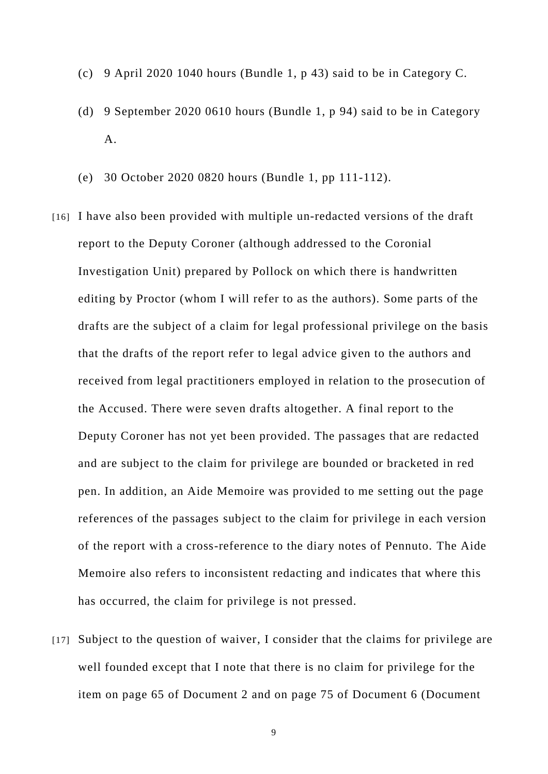- (c) 9 April 2020 1040 hours (Bundle 1, p 43) said to be in Category C.
- (d) 9 September 2020 0610 hours (Bundle 1, p 94) said to be in Category A.
- (e) 30 October 2020 0820 hours (Bundle 1, pp 111-112).
- [16] I have also been provided with multiple un-redacted versions of the draft report to the Deputy Coroner (although addressed to the Coronial Investigation Unit) prepared by Pollock on which there is handwritten editing by Proctor (whom I will refer to as the authors). Some parts of the drafts are the subject of a claim for legal professional privilege on the basis that the drafts of the report refer to legal advice given to the authors and received from legal practitioners employed in relation to the prosecution of the Accused. There were seven drafts altogether. A final report to the Deputy Coroner has not yet been provided. The passages that are redacted and are subject to the claim for privilege are bounded or bracketed in red pen. In addition, an Aide Memoire was provided to me setting out the page references of the passages subject to the claim for privilege in each version of the report with a cross-reference to the diary notes of Pennuto. The Aide Memoire also refers to inconsistent redacting and indicates that where this has occurred, the claim for privilege is not pressed.
- [17] Subject to the question of waiver, I consider that the claims for privilege are well founded except that I note that there is no claim for privilege for the item on page 65 of Document 2 and on page 75 of Document 6 (Document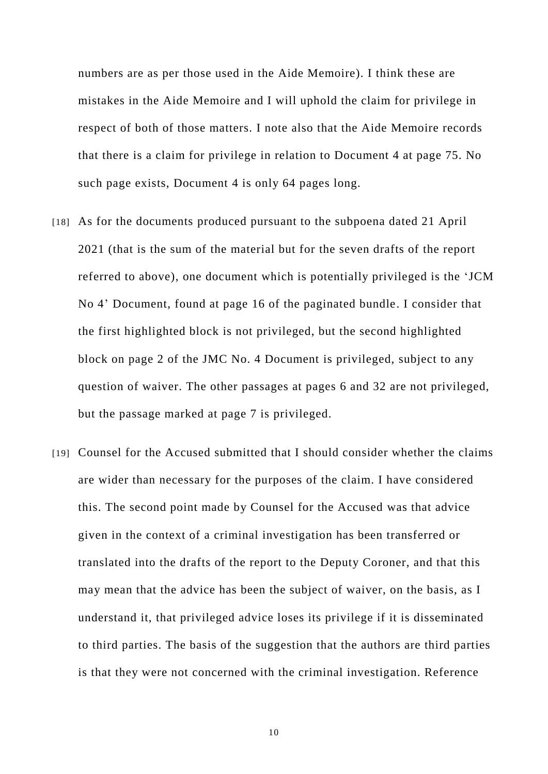numbers are as per those used in the Aide Memoire). I think these are mistakes in the Aide Memoire and I will uphold the claim for privilege in respect of both of those matters. I note also that the Aide Memoire records that there is a claim for privilege in relation to Document 4 at page 75. No such page exists, Document 4 is only 64 pages long.

- [18] As for the documents produced pursuant to the subpoena dated 21 April 2021 (that is the sum of the material but for the seven drafts of the report referred to above), one document which is potentially privileged is the 'JCM No 4' Document, found at page 16 of the paginated bundle. I consider that the first highlighted block is not privileged, but the second highlighted block on page 2 of the JMC No. 4 Document is privileged, subject to any question of waiver. The other passages at pages 6 and 32 are not privileged, but the passage marked at page 7 is privileged.
- [19] Counsel for the Accused submitted that I should consider whether the claims are wider than necessary for the purposes of the claim. I have considered this. The second point made by Counsel for the Accused was that advice given in the context of a criminal investigation has been transferred or translated into the drafts of the report to the Deputy Coroner, and that this may mean that the advice has been the subject of waiver, on the basis, as I understand it, that privileged advice loses its privilege if it is disseminated to third parties. The basis of the suggestion that the authors are third parties is that they were not concerned with the criminal investigation. Reference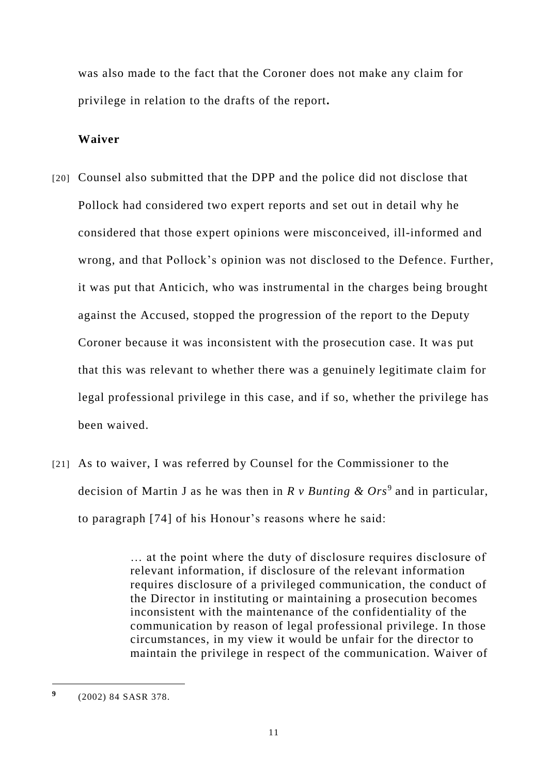was also made to the fact that the Coroner does not make any claim for privilege in relation to the drafts of the report**.** 

## **Waiver**

- [20] Counsel also submitted that the DPP and the police did not disclose that Pollock had considered two expert reports and set out in detail why he considered that those expert opinions were misconceived, ill-informed and wrong, and that Pollock's opinion was not disclosed to the Defence. Further, it was put that Anticich, who was instrumental in the charges being brought against the Accused, stopped the progression of the report to the Deputy Coroner because it was inconsistent with the prosecution case. It was put that this was relevant to whether there was a genuinely legitimate claim for legal professional privilege in this case, and if so, whether the privilege has been waived.
- [21] As to waiver, I was referred by Counsel for the Commissioner to the decision of Martin J as he was then in *R v Bunting & Ors*<sup>9</sup> and in particular, to paragraph [74] of his Honour's reasons where he said:

… at the point where the duty of disclosure requires disclosure of relevant information, if disclosure of the relevant information requires disclosure of a privileged communication, the conduct of the Director in instituting or maintaining a prosecution becomes inconsistent with the maintenance of the confidentiality of the communication by reason of legal professional privilege. In those circumstances, in my view it would be unfair for the director to maintain the privilege in respect of the communication. Waiver of

**<sup>9</sup>** (2002) 84 SASR 378.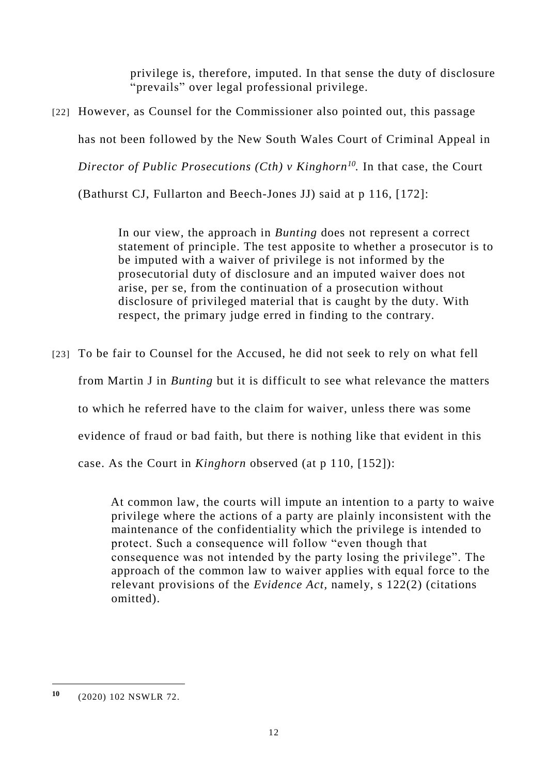privilege is, therefore, imputed. In that sense the duty of disclosure "prevails" over legal professional privilege.

[22] However, as Counsel for the Commissioner also pointed out, this passage

has not been followed by the New South Wales Court of Criminal Appeal in

*Director of Public Prosecutions (Cth) v Kinghorn<sup>10</sup> .* In that case, the Court

(Bathurst CJ, Fullarton and Beech-Jones JJ) said at p 116, [172]:

In our view, the approach in *Bunting* does not represent a correct statement of principle. The test apposite to whether a prosecutor is to be imputed with a waiver of privilege is not informed by the prosecutorial duty of disclosure and an imputed waiver does not arise, per se, from the continuation of a prosecution without disclosure of privileged material that is caught by the duty. With respect, the primary judge erred in finding to the contrary.

[23] To be fair to Counsel for the Accused, he did not seek to rely on what fell from Martin J in *Bunting* but it is difficult to see what relevance the matters to which he referred have to the claim for waiver, unless there was some evidence of fraud or bad faith, but there is nothing like that evident in this case. As the Court in *Kinghorn* observed (at p 110, [152]):

> At common law, the courts will impute an intention to a party to waive privilege where the actions of a party are plainly inconsistent with the maintenance of the confidentiality which the privilege is intended to protect. Such a consequence will follow "even though that consequence was not intended by the party losing the privilege". The approach of the common law to waiver applies with equal force to the relevant provisions of the *Evidence Act,* namely, s 122(2) (citations omitted).

**<sup>10</sup>** (2020) 102 NSWLR 72.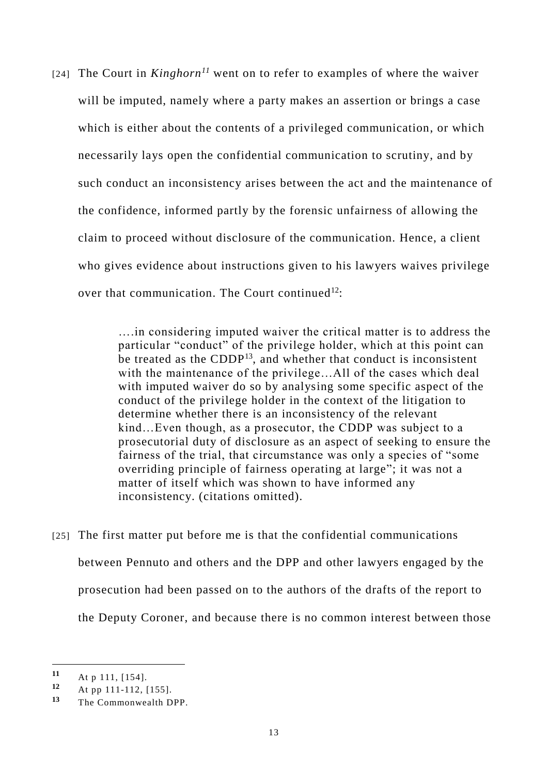[24] The Court in *Kinghorn<sup>11</sup>* went on to refer to examples of where the waiver will be imputed, namely where a party makes an assertion or brings a case which is either about the contents of a privileged communication, or which necessarily lays open the confidential communication to scrutiny, and by such conduct an inconsistency arises between the act and the maintenance of the confidence, informed partly by the forensic unfairness of allowing the claim to proceed without disclosure of the communication. Hence, a client who gives evidence about instructions given to his lawyers waives privilege over that communication. The Court continued<sup>12</sup>:

> ….in considering imputed waiver the critical matter is to address the particular "conduct" of the privilege holder, which at this point can be treated as the CDDP<sup>13</sup>, and whether that conduct is inconsistent with the maintenance of the privilege…All of the cases which deal with imputed waiver do so by analysing some specific aspect of the conduct of the privilege holder in the context of the litigation to determine whether there is an inconsistency of the relevant kind…Even though, as a prosecutor, the CDDP was subject to a prosecutorial duty of disclosure as an aspect of seeking to ensure the fairness of the trial, that circumstance was only a species of "some overriding principle of fairness operating at large"; it was not a matter of itself which was shown to have informed any inconsistency. (citations omitted).

[25] The first matter put before me is that the confidential communications between Pennuto and others and the DPP and other lawyers engaged by the prosecution had been passed on to the authors of the drafts of the report to the Deputy Coroner, and because there is no common interest between those

-

**<sup>11</sup>** At p 111, [154].

**<sup>12</sup>** At pp 111-112, [155].

**<sup>13</sup>** The Commonwealth DPP.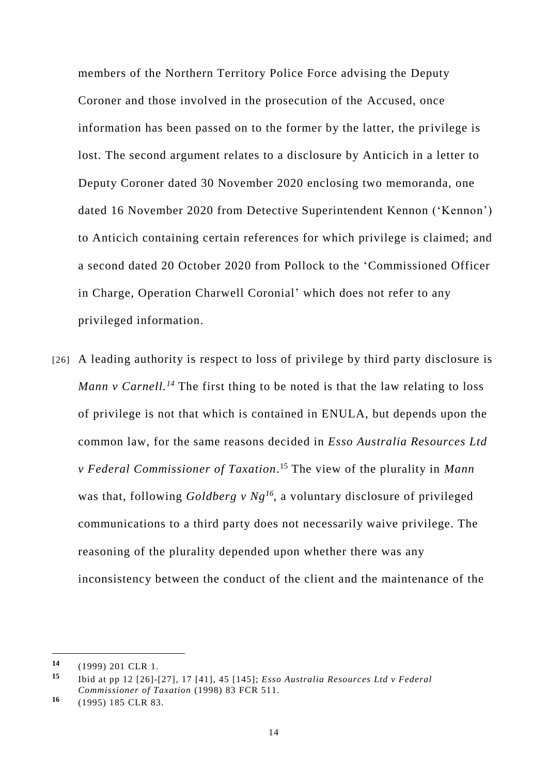members of the Northern Territory Police Force advising the Deputy Coroner and those involved in the prosecution of the Accused, once information has been passed on to the former by the latter, the privilege is lost. The second argument relates to a disclosure by Anticich in a letter to Deputy Coroner dated 30 November 2020 enclosing two memoranda, one dated 16 November 2020 from Detective Superintendent Kennon ('Kennon') to Anticich containing certain references for which privilege is claimed; and a second dated 20 October 2020 from Pollock to the 'Commissioned Officer in Charge, Operation Charwell Coronial' which does not refer to any privileged information.

[26] A leading authority is respect to loss of privilege by third party disclosure is *Mann v Carnell. <sup>14</sup>* The first thing to be noted is that the law relating to loss of privilege is not that which is contained in ENULA, but depends upon the common law, for the same reasons decided in *Esso Australia Resources Ltd v Federal Commissioner of Taxation*. <sup>15</sup> The view of the plurality in *Mann* was that, following *Goldberg v Ng<sup>16</sup>*, a voluntary disclosure of privileged communications to a third party does not necessarily waive privilege. The reasoning of the plurality depended upon whether there was any inconsistency between the conduct of the client and the maintenance of the

**<sup>14</sup>** (1999) 201 CLR 1.

**<sup>15</sup>** Ibid at pp 12 [26]-[27], 17 [41], 45 [145]; *Esso Australia Resources Ltd v Federal Commissioner of Taxation* (1998) 83 FCR 511.

**<sup>16</sup>** (1995) 185 CLR 83.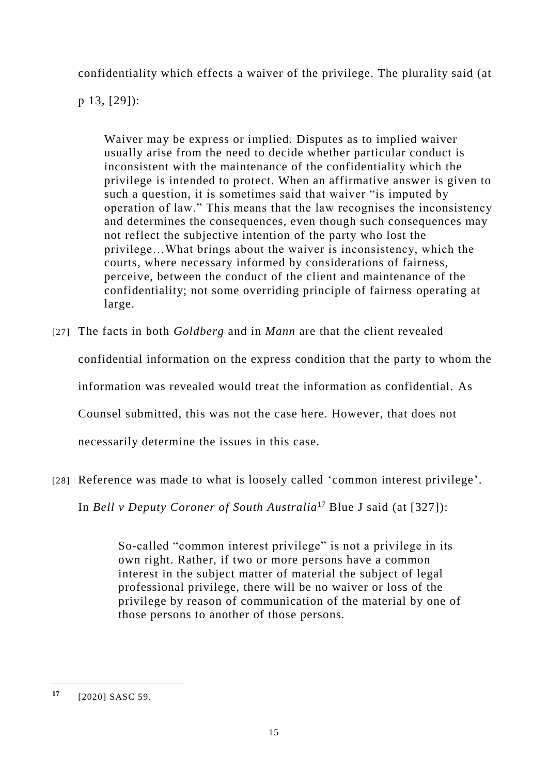confidentiality which effects a waiver of the privilege. The plurality said (at

p 13, [29]):

Waiver may be express or implied. Disputes as to implied waiver usually arise from the need to decide whether particular conduct is inconsistent with the maintenance of the confidentiality which the privilege is intended to protect. When an affirmative answer is given to such a question, it is sometimes said that waiver "is imputed by operation of law." This means that the law recognises the inconsistency and determines the consequences, even though such consequences may not reflect the subjective intention of the party who lost the privilege…What brings about the waiver is inconsistency, which the courts, where necessary informed by considerations of fairness, perceive, between the conduct of the client and maintenance of the confidentiality; not some overriding principle of fairness operating at large.

[27] The facts in both *Goldberg* and in *Mann* are that the client revealed

confidential information on the express condition that the party to whom the

information was revealed would treat the information as confidential. As

Counsel submitted, this was not the case here. However, that does not

necessarily determine the issues in this case.

[28] Reference was made to what is loosely called 'common interest privilege'.

In *Bell v Deputy Coroner of South Australia*<sup>17</sup> Blue J said (at [327]):

So-called "common interest privilege" is not a privilege in its own right. Rather, if two or more persons have a common interest in the subject matter of material the subject of legal professional privilege, there will be no waiver or loss of the privilege by reason of communication of the material by one of those persons to another of those persons.

**<sup>17</sup>** [2020] SASC 59.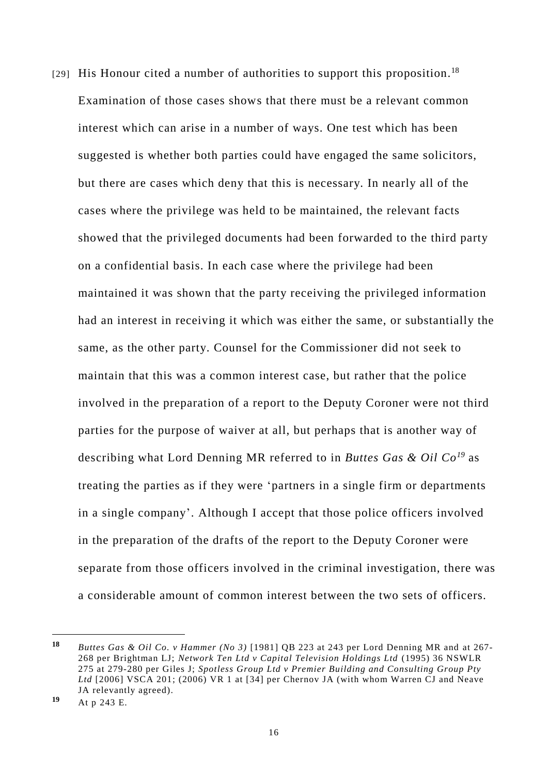[29] His Honour cited a number of authorities to support this proposition.<sup>18</sup> Examination of those cases shows that there must be a relevant common interest which can arise in a number of ways. One test which has been suggested is whether both parties could have engaged the same solicitors, but there are cases which deny that this is necessary. In nearly all of the cases where the privilege was held to be maintained, the relevant facts showed that the privileged documents had been forwarded to the third party on a confidential basis. In each case where the privilege had been maintained it was shown that the party receiving the privileged information had an interest in receiving it which was either the same, or substantially the same, as the other party. Counsel for the Commissioner did not seek to maintain that this was a common interest case, but rather that the police involved in the preparation of a report to the Deputy Coroner were not third parties for the purpose of waiver at all, but perhaps that is another way of describing what Lord Denning MR referred to in *Buttes Gas & Oil Co<sup>19</sup>* as treating the parties as if they were 'partners in a single firm or departments in a single company'. Although I accept that those police officers involved in the preparation of the drafts of the report to the Deputy Coroner were separate from those officers involved in the criminal investigation, there was a considerable amount of common interest between the two sets of officers.

-

**<sup>18</sup>** *Buttes Gas & Oil Co. v Hammer (No 3)* [1981] QB 223 at 243 per Lord Denning MR and at 267- 268 per Brightman LJ; *Network Ten Ltd v Capital Television Holdings Ltd* (1995) 36 NSWLR 275 at 279-280 per Giles J; *Spotless Group Ltd v Premier Building and Consulting Group Pty Ltd* [2006] VSCA 201; (2006) VR 1 at [34] per Chernov JA (with whom Warren CJ and Neave JA relevantly agreed).

**<sup>19</sup>** At p 243 E.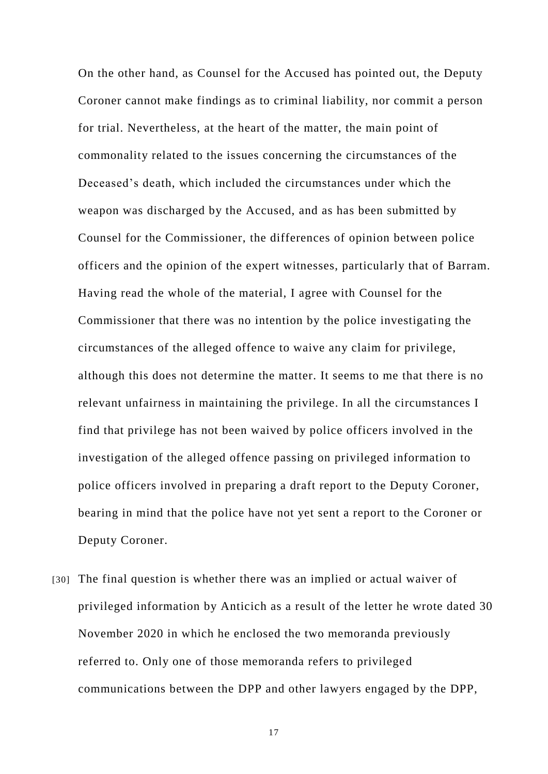On the other hand, as Counsel for the Accused has pointed out, the Deputy Coroner cannot make findings as to criminal liability, nor commit a person for trial. Nevertheless, at the heart of the matter, the main point of commonality related to the issues concerning the circumstances of the Deceased's death, which included the circumstances under which the weapon was discharged by the Accused, and as has been submitted by Counsel for the Commissioner, the differences of opinion between police officers and the opinion of the expert witnesses, particularly that of Barram. Having read the whole of the material, I agree with Counsel for the Commissioner that there was no intention by the police investigating the circumstances of the alleged offence to waive any claim for privilege, although this does not determine the matter. It seems to me that there is no relevant unfairness in maintaining the privilege. In all the circumstances I find that privilege has not been waived by police officers involved in the investigation of the alleged offence passing on privileged information to police officers involved in preparing a draft report to the Deputy Coroner, bearing in mind that the police have not yet sent a report to the Coroner or Deputy Coroner.

[30] The final question is whether there was an implied or actual waiver of privileged information by Anticich as a result of the letter he wrote dated 30 November 2020 in which he enclosed the two memoranda previously referred to. Only one of those memoranda refers to privileged communications between the DPP and other lawyers engaged by the DPP,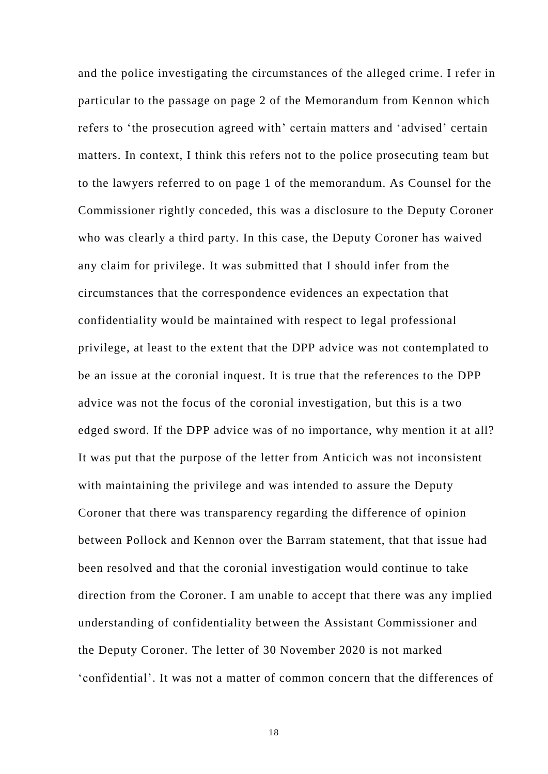and the police investigating the circumstances of the alleged crime. I refer in particular to the passage on page 2 of the Memorandum from Kennon which refers to 'the prosecution agreed with' certain matters and 'advised' certain matters. In context, I think this refers not to the police prosecuting team but to the lawyers referred to on page 1 of the memorandum. As Counsel for the Commissioner rightly conceded, this was a disclosure to the Deputy Coroner who was clearly a third party. In this case, the Deputy Coroner has waived any claim for privilege. It was submitted that I should infer from the circumstances that the correspondence evidences an expectation that confidentiality would be maintained with respect to legal professional privilege, at least to the extent that the DPP advice was not contemplated to be an issue at the coronial inquest. It is true that the references to the DPP advice was not the focus of the coronial investigation, but this is a two edged sword. If the DPP advice was of no importance, why mention it at all? It was put that the purpose of the letter from Anticich was not inconsistent with maintaining the privilege and was intended to assure the Deputy Coroner that there was transparency regarding the difference of opinion between Pollock and Kennon over the Barram statement, that that issue had been resolved and that the coronial investigation would continue to take direction from the Coroner. I am unable to accept that there was any implied understanding of confidentiality between the Assistant Commissioner and the Deputy Coroner. The letter of 30 November 2020 is not marked 'confidential'. It was not a matter of common concern that the differences of